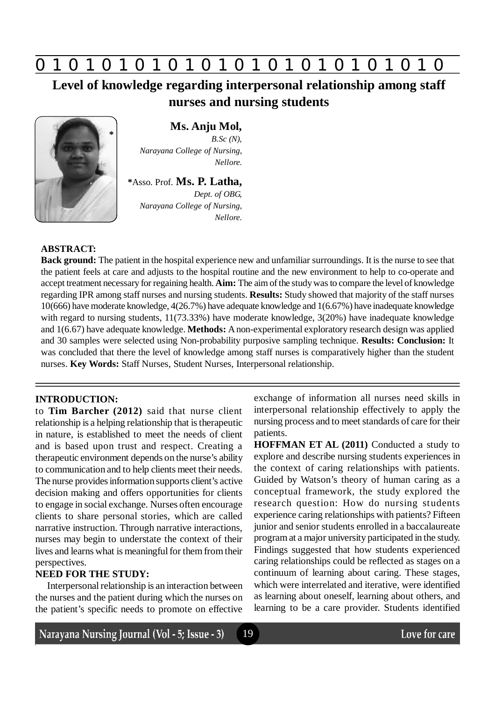

**Level of knowledge regarding interpersonal relationship among staff nurses and nursing students**



# **Ms. Anju Mol,**

*B.Sc (N), Narayana College of Nursing, Nellore.*

**\***Asso. Prof. **Ms. P. Latha,**

*Dept. of OBG, Narayana College of Nursing, Nellore.*

#### **ABSTRACT:**

**Back ground:** The patient in the hospital experience new and unfamiliar surroundings. It is the nurse to see that the patient feels at care and adjusts to the hospital routine and the new environment to help to co-operate and accept treatment necessary for regaining health. **Aim:** The aim of the study was to compare the level of knowledge regarding IPR among staff nurses and nursing students. **Results:** Study showed that majority of the staff nurses 10(666) have moderate knowledge, 4(26.7%) have adequate knowledge and 1(6.67%) have inadequate knowledge with regard to nursing students,  $11(73.33%)$  have moderate knowledge,  $3(20%)$  have inadequate knowledge and 1(6.67) have adequate knowledge. **Methods:** A non-experimental exploratory research design was applied and 30 samples were selected using Non-probability purposive sampling technique. **Results: Conclusion:** It was concluded that there the level of knowledge among staff nurses is comparatively higher than the student nurses. **Key Words:** Staff Nurses, Student Nurses, Interpersonal relationship.

19

#### **INTRODUCTION:**

to **Tim Barcher (2012)** said that nurse client relationship is a helping relationship that is therapeutic in nature, is established to meet the needs of client and is based upon trust and respect. Creating a therapeutic environment depends on the nurse's ability to communication and to help clients meet their needs. The nurse provides information supports client's active decision making and offers opportunities for clients to engage in social exchange. Nurses often encourage clients to share personal stories, which are called narrative instruction. Through narrative interactions, nurses may begin to understate the context of their lives and learns what is meaningful for them from their perspectives.

# **NEED FOR THE STUDY:**

Interpersonal relationship is an interaction between the nurses and the patient during which the nurses on the patient's specific needs to promote on effective

exchange of information all nurses need skills in interpersonal relationship effectively to apply the nursing process and to meet standards of care for their patients.

**HOFFMAN ET AL (2011)** Conducted a study to explore and describe nursing students experiences in the context of caring relationships with patients. Guided by Watson's theory of human caring as a conceptual framework, the study explored the research question: How do nursing students experience caring relationships with patients? Fifteen junior and senior students enrolled in a baccalaureate program at a major university participated in the study. Findings suggested that how students experienced caring relationships could be reflected as stages on a continuum of learning about caring. These stages, which were interrelated and iterative, were identified as learning about oneself, learning about others, and learning to be a care provider. Students identified

Narayana Nursing Journal (Vol - 5; Issue - 3)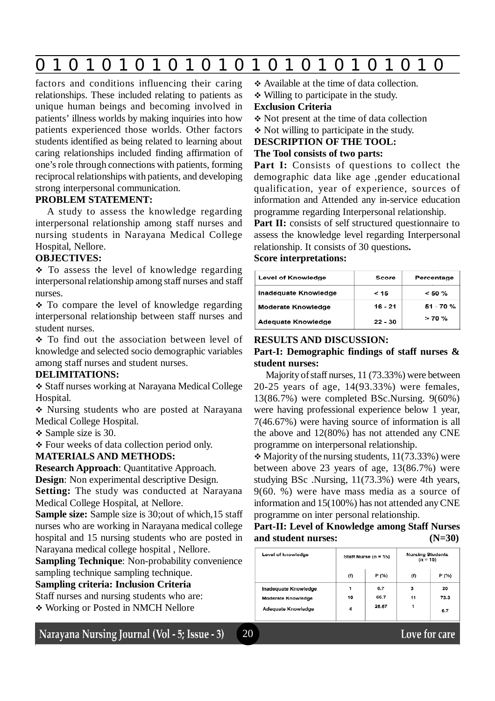# **0 z 0 z 0 z 0 z 0 z 0 z 0 z 0 z 0 z 0 z 0 z 0 z 0**

20

factors and conditions influencing their caring relationships. These included relating to patients as unique human beings and becoming involved in patients' illness worlds by making inquiries into how patients experienced those worlds. Other factors students identified as being related to learning about caring relationships included finding affirmation of one's role through connections with patients, forming reciprocal relationships with patients, and developing strong interpersonal communication.

## **PROBLEM STATEMENT:**

A study to assess the knowledge regarding interpersonal relationship among staff nurses and nursing students in Narayana Medical College Hospital, Nellore.

#### **OBJECTIVES:**

 $\div$  To assess the level of knowledge regarding interpersonal relationship among staff nurses and staff nurses.

 $\div$  To compare the level of knowledge regarding interpersonal relationship between staff nurses and student nurses.

• To find out the association between level of knowledge and selected socio demographic variables among staff nurses and student nurses.

#### **DELIMITATIONS:**

 Staff nurses working at Narayana Medical College Hospital.

 Nursing students who are posted at Narayana Medical College Hospital.

 $\div$  Sample size is 30.

Four weeks of data collection period only.

#### **MATERIALS AND METHODS:**

**Research Approach**: Quantitative Approach.

**Design**: Non experimental descriptive Design.

**Setting:** The study was conducted at Narayana Medical College Hospital, at Nellore.

**Sample size:** Sample size is 30;out of which,15 staff nurses who are working in Narayana medical college hospital and 15 nursing students who are posted in Narayana medical college hospital , Nellore.

**Sampling Technique**: Non-probability convenience sampling technique sampling technique.

#### **Sampling criteria: Inclusion Criteria**

Staff nurses and nursing students who are:

Working or Posted in NMCH Nellore

# Narayana Nursing Journal (Vol - 5; Issue - 3)

- Available at the time of data collection.
- Willing to participate in the study.

#### **Exclusion Criteria**

- Not present at the time of data collection
- Not willing to participate in the study.

# **DESCRIPTION OF THE TOOL:**

#### **The Tool consists of two parts:**

Part I: Consists of questions to collect the demographic data like age ,gender educational qualification, year of experience, sources of information and Attended any in-service education programme regarding Interpersonal relationship.

Part II: consists of self structured questionnaire to assess the knowledge level regarding Interpersonal relationship. It consists of 30 questions**.**

# **Score interpretations:**

| Level of Knowledge        | Score     | Percentage |
|---------------------------|-----------|------------|
| Inadequate Knowledge      | < 15      | $< 50 \%$  |
| <b>Moderate Knowledge</b> | 16 - 21   | 51 - 70 %  |
| Adequate Knowledge        | $22 - 30$ | >70%       |

#### **RESULTS AND DISCUSSION:**

## **Part-I: Demographic findings of staff nurses & student nurses:**

Majority of staff nurses, 11 (73.33%) were between 20-25 years of age, 14(93.33%) were females, 13(86.7%) were completed BSc.Nursing. 9(60%) were having professional experience below 1 year, 7(46.67%) were having source of information is all the above and 12(80%) has not attended any CNE programme on interpersonal relationship.

 $\triangle$  Majority of the nursing students, 11(73.33%) were between above 23 years of age, 13(86.7%) were studying BSc .Nursing, 11(73.3%) were 4th years, 9(60. %) were have mass media as a source of information and 15(100%) has not attended any CNE programme on inter personal relationship.

## **Part-II: Level of Knowledge among Staff Nurses and student nurses: (N=30)**

| Level of knowledge   | Staff Nurse (n = 15) |       | <b>Nursing Students</b><br>$(n = 15)$ |       |
|----------------------|----------------------|-------|---------------------------------------|-------|
|                      | (f)                  | P (%) | (f)                                   | P (%) |
| Inadequate Knowledge |                      | 6.7   | 3                                     | 20    |
| Moderate Knowledge   | 10                   | 66.7  | 11                                    | 73.3  |
| Adequate Knowledge   | 4                    | 26.67 | 1                                     | 6.7   |